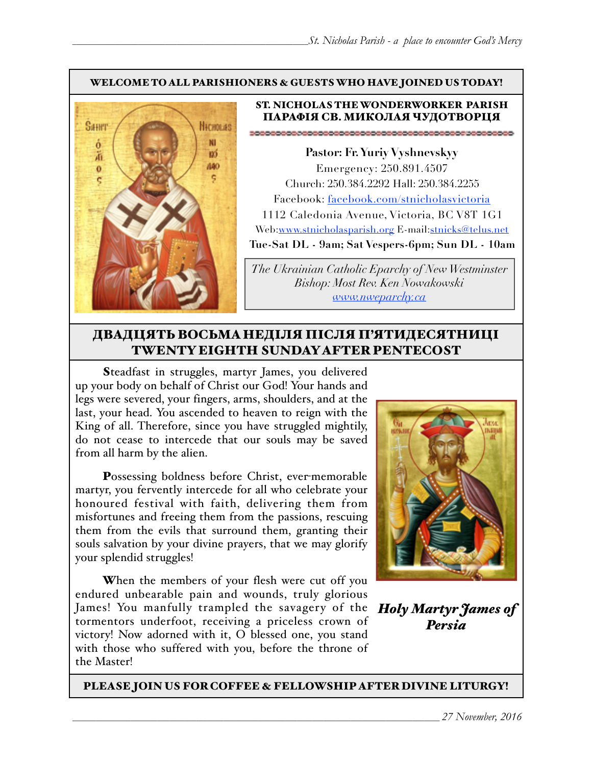#### WELCOME TO ALL PARISHIONERS & GUESTS WHO HAVE JOINED US TODAY!



#### ST. NICHOLAS THE WONDERWORKER PARISH ПАРАФІЯ СВ. МИКОЛАЯ ЧУДОТВОРЦЯ

**Pastor: Fr. Yuriy Vyshnevskyy** Emergency: 250.891.4507 Church: 250.384.2292 Hall: 250.384.2255 Facebook: facebook.com/stnicholasvictoria 1112 Caledonia Avenue, Victoria, BC V8T 1G1 Web[:www.stnicholasparish.org](http://www.stnicholasparish.org) E-mail:[stnicks@telus.net](mailto:stnicks@telus.net) **Tue-Sat DL - 9am; Sat Vespers-6pm; Sun DL - 10am**

*The Ukrainian Catholic Eparchy of New Westminster Bishop: Most Rev. Ken Nowakowski [www.nweparchy.ca](http://www.nweparchy.ca)*

#### ДВАДЦЯТЬ ВОСЬМАНЕДІЛЯ ПІСЛЯ П'ЯТИДЕСЯТНИЦІ TWENTY EIGHTH SUNDAY AFTER PENTECOST

Steadfast in struggles, martyr James, you delivered up your body on behalf of Christ our God! Your hands and legs were severed, your fingers, arms, shoulders, and at the last, your head. You ascended to heaven to reign with the King of all. Therefore, since you have struggled mightily, do not cease to intercede that our souls may be saved from all harm by the alien.

Possessing boldness before Christ, ever-memorable martyr, you fervently intercede for all who celebrate your honoured festival with faith, delivering them from misfortunes and freeing them from the passions, rescuing them from the evils that surround them, granting their souls salvation by your divine prayers, that we may glorify your splendid struggles!

When the members of your flesh were cut off you endured unbearable pain and wounds, truly glorious James! You manfully trampled the savagery of the *Holy Martyr James of*  tormentors underfoot, receiving a priceless crown of victory! Now adorned with it, O blessed one, you stand with those who suffered with you, before the throne of the Master!



*Persia*

PLEASE JOIN US FOR COFFEE & FELLOWSHIP AFTER DIVINE LITURGY!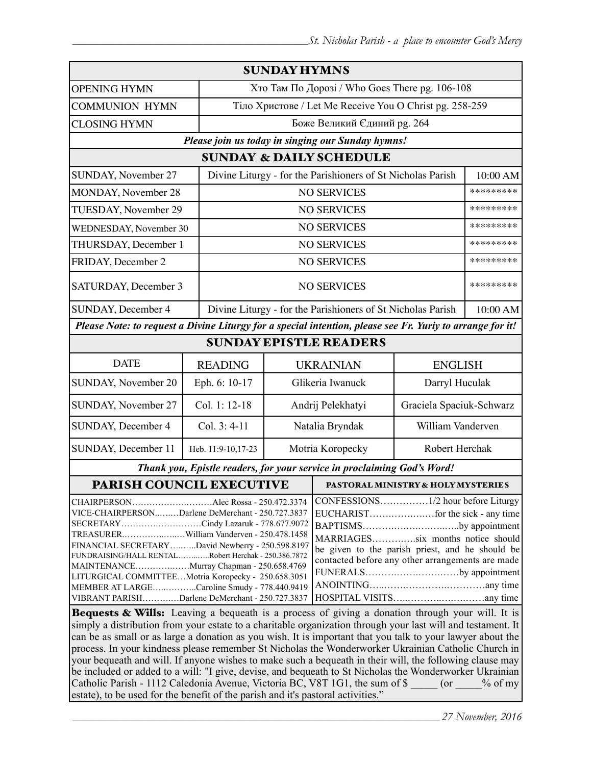| <b>SUNDAY HYMNS</b>                                                                                                                                                                                                                                                                                                                                                                                                                                                                                                                                                                                                                                                                                                             |                                                             |                                                             |                                                                                                                                                                                              |                          |           |  |  |
|---------------------------------------------------------------------------------------------------------------------------------------------------------------------------------------------------------------------------------------------------------------------------------------------------------------------------------------------------------------------------------------------------------------------------------------------------------------------------------------------------------------------------------------------------------------------------------------------------------------------------------------------------------------------------------------------------------------------------------|-------------------------------------------------------------|-------------------------------------------------------------|----------------------------------------------------------------------------------------------------------------------------------------------------------------------------------------------|--------------------------|-----------|--|--|
| <b>OPENING HYMN</b>                                                                                                                                                                                                                                                                                                                                                                                                                                                                                                                                                                                                                                                                                                             |                                                             | Хто Там По Дорозі / Who Goes There pg. 106-108              |                                                                                                                                                                                              |                          |           |  |  |
| <b>COMMUNION HYMN</b>                                                                                                                                                                                                                                                                                                                                                                                                                                                                                                                                                                                                                                                                                                           |                                                             | Тіло Христове / Let Me Receive You O Christ pg. 258-259     |                                                                                                                                                                                              |                          |           |  |  |
| <b>CLOSING HYMN</b>                                                                                                                                                                                                                                                                                                                                                                                                                                                                                                                                                                                                                                                                                                             |                                                             | Боже Великий Єдиний рg. 264                                 |                                                                                                                                                                                              |                          |           |  |  |
| Please join us today in singing our Sunday hymns!                                                                                                                                                                                                                                                                                                                                                                                                                                                                                                                                                                                                                                                                               |                                                             |                                                             |                                                                                                                                                                                              |                          |           |  |  |
| <b>SUNDAY &amp; DAILY SCHEDULE</b>                                                                                                                                                                                                                                                                                                                                                                                                                                                                                                                                                                                                                                                                                              |                                                             |                                                             |                                                                                                                                                                                              |                          |           |  |  |
| SUNDAY, November 27                                                                                                                                                                                                                                                                                                                                                                                                                                                                                                                                                                                                                                                                                                             | Divine Liturgy - for the Parishioners of St Nicholas Parish |                                                             |                                                                                                                                                                                              | 10:00 AM                 |           |  |  |
| MONDAY, November 28                                                                                                                                                                                                                                                                                                                                                                                                                                                                                                                                                                                                                                                                                                             |                                                             |                                                             | <b>NO SERVICES</b>                                                                                                                                                                           |                          | ********* |  |  |
| TUESDAY, November 29                                                                                                                                                                                                                                                                                                                                                                                                                                                                                                                                                                                                                                                                                                            |                                                             |                                                             |                                                                                                                                                                                              | <b>NO SERVICES</b>       |           |  |  |
| WEDNESDAY, November 30                                                                                                                                                                                                                                                                                                                                                                                                                                                                                                                                                                                                                                                                                                          |                                                             |                                                             | <b>NO SERVICES</b>                                                                                                                                                                           |                          | ********* |  |  |
| THURSDAY, December 1                                                                                                                                                                                                                                                                                                                                                                                                                                                                                                                                                                                                                                                                                                            |                                                             |                                                             | <b>NO SERVICES</b>                                                                                                                                                                           |                          | ********* |  |  |
| FRIDAY, December 2                                                                                                                                                                                                                                                                                                                                                                                                                                                                                                                                                                                                                                                                                                              |                                                             |                                                             | <b>NO SERVICES</b>                                                                                                                                                                           |                          | ********* |  |  |
| SATURDAY, December 3                                                                                                                                                                                                                                                                                                                                                                                                                                                                                                                                                                                                                                                                                                            |                                                             | <b>NO SERVICES</b>                                          |                                                                                                                                                                                              |                          | ********* |  |  |
| SUNDAY, December 4                                                                                                                                                                                                                                                                                                                                                                                                                                                                                                                                                                                                                                                                                                              |                                                             | Divine Liturgy - for the Parishioners of St Nicholas Parish |                                                                                                                                                                                              |                          | 10:00 AM  |  |  |
| Please Note: to request a Divine Liturgy for a special intention, please see Fr. Yuriy to arrange for it!                                                                                                                                                                                                                                                                                                                                                                                                                                                                                                                                                                                                                       |                                                             |                                                             |                                                                                                                                                                                              |                          |           |  |  |
| <b>SUNDAY EPISTLE READERS</b>                                                                                                                                                                                                                                                                                                                                                                                                                                                                                                                                                                                                                                                                                                   |                                                             |                                                             |                                                                                                                                                                                              |                          |           |  |  |
| <b>DATE</b>                                                                                                                                                                                                                                                                                                                                                                                                                                                                                                                                                                                                                                                                                                                     | <b>READING</b>                                              |                                                             | <b>UKRAINIAN</b><br><b>ENGLISH</b>                                                                                                                                                           |                          |           |  |  |
| SUNDAY, November 20                                                                                                                                                                                                                                                                                                                                                                                                                                                                                                                                                                                                                                                                                                             | Eph. 6: 10-17                                               |                                                             | Glikeria Iwanuck<br>Darryl Huculak                                                                                                                                                           |                          |           |  |  |
| SUNDAY, November 27                                                                                                                                                                                                                                                                                                                                                                                                                                                                                                                                                                                                                                                                                                             | Col. 1: 12-18                                               | Andrij Pelekhatyi                                           |                                                                                                                                                                                              | Graciela Spaciuk-Schwarz |           |  |  |
| SUNDAY, December 4                                                                                                                                                                                                                                                                                                                                                                                                                                                                                                                                                                                                                                                                                                              | Col. 3: 4-11                                                | Natalia Bryndak                                             |                                                                                                                                                                                              | William Vanderven        |           |  |  |
| SUNDAY, December 11                                                                                                                                                                                                                                                                                                                                                                                                                                                                                                                                                                                                                                                                                                             | Heb. 11:9-10,17-23                                          | Motria Koropecky                                            |                                                                                                                                                                                              | Robert Herchak           |           |  |  |
| Thank you, Epistle readers, for your service in proclaiming God's Word!                                                                                                                                                                                                                                                                                                                                                                                                                                                                                                                                                                                                                                                         |                                                             |                                                             |                                                                                                                                                                                              |                          |           |  |  |
| <b>PARISH COUNCIL EXECUTIVE</b>                                                                                                                                                                                                                                                                                                                                                                                                                                                                                                                                                                                                                                                                                                 |                                                             | PASTORAL MINISTRY & HOLY MYSTERIES                          |                                                                                                                                                                                              |                          |           |  |  |
| CHAIRPERSONAlec Rossa - 250.472.3374<br>VICE-CHAIRPERSONDarlene DeMerchant - 250.727.3837<br>SECRETARYCindy Lazaruk - 778.677.9072<br>TREASURERWilliam Vanderven - 250.478.1458<br>FINANCIAL SECRETARYDavid Newberry - 250.598.8197<br>FUNDRAISING/HALL RENTALRobert Herchak - 250.386.7872<br>MAINTENANCEMurray Chapman - 250.658.4769<br>LITURGICAL COMMITTEEMotria Koropecky - 250.658.3051<br>MEMBER AT LARGECaroline Smudy - 778.440.9419<br>VIBRANT PARISHDarlene DeMerchant - 250.727.3837<br><b>Bequests &amp; Wills:</b> Leaving a bequeath is a process of giving a donation through your will. It is<br>simply a distribution from your estate to a charitable organization through your last will and testament. It |                                                             |                                                             | BAPTISMSby appointment<br>MARRIAGESsix months notice should<br>be given to the parish priest, and he should be<br>contacted before any other arrangements are made<br>FUNERALSby appointment |                          |           |  |  |

simply a distribution from your estate to a charitable organization through your last will and testament. It can be as small or as large a donation as you wish. It is important that you talk to your lawyer about the process. In your kindness please remember St Nicholas the Wonderworker Ukrainian Catholic Church in your bequeath and will. If anyone wishes to make such a bequeath in their will, the following clause may be included or added to a will: "I give, devise, and bequeath to St Nicholas the Wonderworker Ukrainian Catholic Parish - 1112 Caledonia Avenue, Victoria BC, V8T 1G1, the sum of \$  $\qquad \qquad$  (or  $\qquad \qquad$  % of my estate), to be used for the benefit of the parish and it's pastoral activities."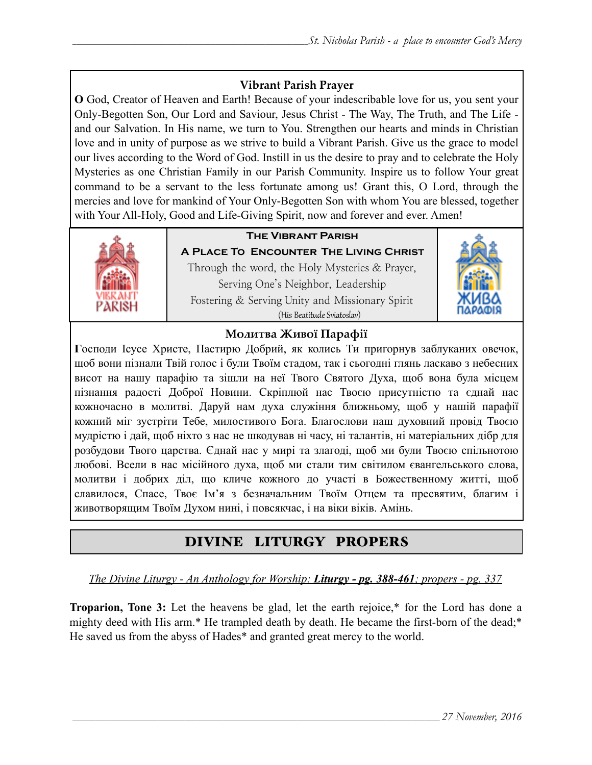#### **Vibrant Parish Prayer**

**O** God, Creator of Heaven and Earth! Because of your indescribable love for us, you sent your Only-Begotten Son, Our Lord and Saviour, Jesus Christ - The Way, The Truth, and The Life and our Salvation. In His name, we turn to You. Strengthen our hearts and minds in Christian love and in unity of purpose as we strive to build a Vibrant Parish. Give us the grace to model our lives according to the Word of God. Instill in us the desire to pray and to celebrate the Holy Mysteries as one Christian Family in our Parish Community. Inspire us to follow Your great command to be a servant to the less fortunate among us! Grant this, O Lord, through the mercies and love for mankind of Your Only-Begotten Son with whom You are blessed, together with Your All-Holy, Good and Life-Giving Spirit, now and forever and ever. Amen!



#### **THE VIBRANT PARISH**

A PLACE TO ENCOUNTER THE LIVING CHRIST Through the word, the Holy Mysteries & Prayer, Serving One's Neighbor, Leadership Fostering & Serving Unity and Missionary Spirit (His Beatitude Sviatoslav)



#### Молитва Живої Парафії

Господи Ісусе Христе, Пастирю Добрий, як колись Ти пригорнув заблуканих овечок, щоб вони пізнали Твій голос і були Твоїм стадом, так і сьогодні глянь ласкаво з небесних висот на нашу парафію та зішли на неї Твого Святого Духа, щоб вона була місцем пізнання радості Доброї Новини. Скріплюй нас Твоєю присутністю та єднай нас кожночасно в молитві. Даруй нам духа служіння ближньому, щоб у нашій парафії кожний міг зустріти Тебе, милостивого Бога. Благослови наш духовний провід Твоєю мудрістю і дай, щоб ніхто з нас не шкодував ні часу, ні талантів, ні матеріальних дібр для розбудови Твого царства. Єднай нас у мирі та злагоді, щоб ми були Твоєю спільнотою любові. Всели в нас місійного духа, щоб ми стали тим світилом євангельського слова, молитви і добрих діл, що кличе кожного до участі в Божественному житті, щоб славилося, Спасе, Твоє Ім'я з безначальним Твоїм Отцем та пресвятим, благим і животворящим Твоїм Духом нині, і повсякчас, і на віки віків. Амінь.

#### DIVINE LITURGY PROPERS

<u> The Divine Liturgy - An Anthology for Worship: Liturgy - pg. 388-461; propers - pg. 337</u>

**Troparion, Tone 3:** Let the heavens be glad, let the earth rejoice.\* for the Lord has done a mighty deed with His arm.\* He trampled death by death. He became the first-born of the dead;\* He saved us from the abyss of Hades\* and granted great mercy to the world.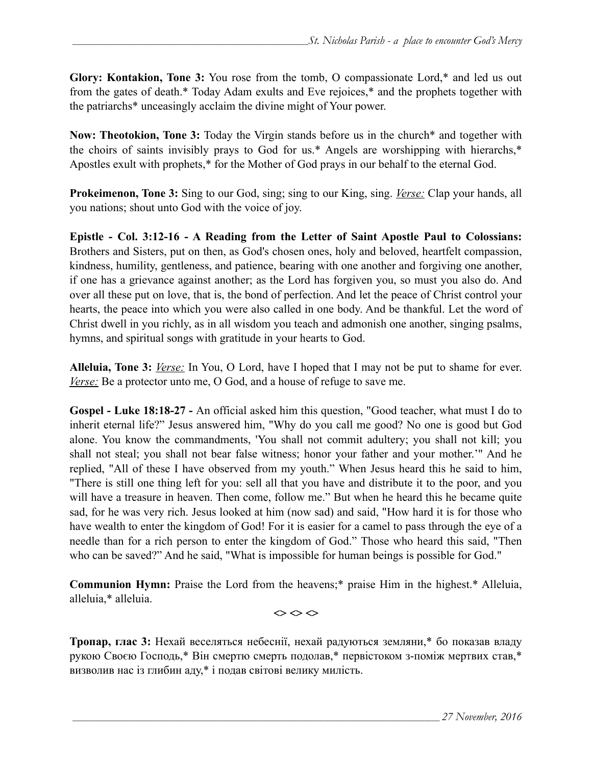**Glory: Kontakion, Tone 3:** You rose from the tomb, O compassionate Lord,\* and led us out from the gates of death.\* Today Adam exults and Eve rejoices,\* and the prophets together with the patriarchs\* unceasingly acclaim the divine might of Your power.

**Now: Theotokion, Tone 3:** Today the Virgin stands before us in the church\* and together with the choirs of saints invisibly prays to God for us.\* Angels are worshipping with hierarchs,\* Apostles exult with prophets,\* for the Mother of God prays in our behalf to the eternal God.

**Prokeimenon, Tone 3:** Sing to our God, sing; sing to our King, sing. *Verse:* Clap your hands, all you nations; shout unto God with the voice of joy.

**Epistle - Col. 3:12-16 - A Reading from the Letter of Saint Apostle Paul to Colossians:** Brothers and Sisters, put on then, as God's chosen ones, holy and beloved, heartfelt compassion, kindness, humility, gentleness, and patience, bearing with one another and forgiving one another, if one has a grievance against another; as the Lord has forgiven you, so must you also do. And over all these put on love, that is, the bond of perfection. And let the peace of Christ control your hearts, the peace into which you were also called in one body. And be thankful. Let the word of Christ dwell in you richly, as in all wisdom you teach and admonish one another, singing psalms, hymns, and spiritual songs with gratitude in your hearts to God.

**Alleluia, Tone 3:** *Verse:* In You, O Lord, have I hoped that I may not be put to shame for ever. *Verse:* Be a protector unto me, O God, and a house of refuge to save me.

**Gospel - Luke 18:18-27 -** An official asked him this question, "Good teacher, what must I do to inherit eternal life?" Jesus answered him, "Why do you call me good? No one is good but God alone. You know the commandments, 'You shall not commit adultery; you shall not kill; you shall not steal; you shall not bear false witness; honor your father and your mother.'" And he replied, "All of these I have observed from my youth." When Jesus heard this he said to him, "There is still one thing left for you: sell all that you have and distribute it to the poor, and you will have a treasure in heaven. Then come, follow me." But when he heard this he became quite sad, for he was very rich. Jesus looked at him (now sad) and said, "How hard it is for those who have wealth to enter the kingdom of God! For it is easier for a camel to pass through the eye of a needle than for a rich person to enter the kingdom of God." Those who heard this said, "Then who can be saved?" And he said, "What is impossible for human beings is possible for God."

**Communion Hymn:** Praise the Lord from the heavens;\* praise Him in the highest.\* Alleluia, alleluia,\* alleluia.

 $\Leftrightarrow$   $\Leftrightarrow$   $\Leftrightarrow$ 

**Тропар, глас 3:** Нехай веселяться небеснії, нехай радуються земляни,\* бо показав владу рукою Своєю Господь,\* Він смертю смерть подолав,\* первістоком з-поміж мертвих став,\* визволив нас із глибин аду,\* і подав світові велику милість.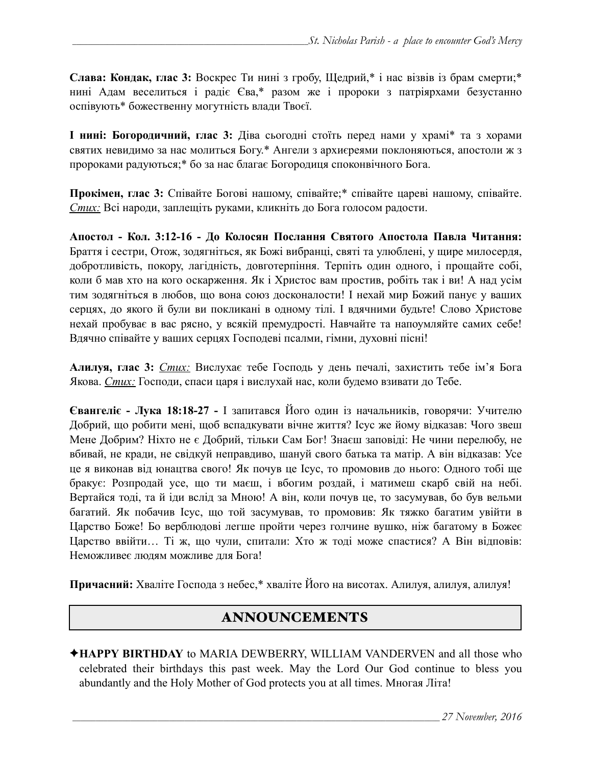**Слава: Кондак, глас 3:** Воскрес Ти нині з гробу, Щедрий,\* і нас візвів із брам смерти;\* нині Адам веселиться і радіє Єва,\* разом же і пророки з патріярхами безустанно оспівують\* божественну могутність влади Твоєї.

**І нині: Богородичний, глас 3:** Діва сьогодні стоїть перед нами у храмі\* та з хорами святих невидимо за нас молиться Богу.\* Ангели з архиєреями поклоняються, апостоли ж з пророками радуються;\* бо за нас благає Богородиця споконвічного Бога.

**Прокімен, глас 3:** Співайте Богові нашому, співайте;\* співайте цареві нашому, співайте. *Стих:* Всі народи, заплещіть руками, кликніть до Бога голосом радости.

**Апостол - Кол. 3:12-16 - До Колосян Послання Святого Апостола Павла Читання:**  Браття і сестри, Отож, зодягніться, як Божі вибранці, святі та улюблені, у щире милосердя, добротливість, покору, лагідність, довготерпіння. Терпіть один одного, і прощайте собі, коли б мав хто на кого оскарження. Як і Христос вам простив, робіть так і ви! А над усім тим зодягніться в любов, що вона союз досконалости! І нехай мир Божий панує у ваших серцях, до якого й були ви покликані в одному тілі. І вдячними будьте! Слово Христове нехай пробуває в вас рясно, у всякій премудрості. Навчайте та напоумляйте самих себе! Вдячно співайте у ваших серцях Господеві псалми, гімни, духовні пісні!

**Алилуя, глас 3:** *Стих:* Вислухає тебе Господь у день печалі, захистить тебе ім'я Бога Якова. *Стих:* Господи, спаси царя і вислухай нас, коли будемо взивати до Тебе.

**Євангеліє - Лука 18:18-27 -** І запитався Його один із начальників, говорячи: Учителю Добрий, що робити мені, щоб вспадкувати вічне життя? Ісус же йому відказав: Чого звеш Мене Добрим? Ніхто не є Добрий, тільки Сам Бог! Знаєш заповіді: Не чини перелюбу, не вбивай, не кради, не свідкуй неправдиво, шануй свого батька та матір. А він відказав: Усе це я виконав від юнацтва свого! Як почув це Ісус, то промовив до нього: Одного тобі ще бракує: Розпродай усе, що ти маєш, і вбогим роздай, і матимеш скарб свій на небі. Вертайся тоді, та й іди вслід за Мною! А він, коли почув це, то засумував, бо був вельми багатий. Як побачив Ісус, що той засумував, то промовив: Як тяжко багатим увійти в Царство Боже! Бо верблюдові легше пройти через голчине вушко, ніж багатому в Божеє Царство ввійти… Ті ж, що чули, спитали: Хто ж тоді може спастися? А Він відповів: Неможливеє людям можливе для Бога!

**Причасний:** Хваліте Господа з небес,\* хваліте Його на висотах. Алилуя, алилуя, алилуя!

#### ANNOUNCEMENTS

✦**HAPPY BIRTHDAY** to MARIA DEWBERRY, WILLIAM VANDERVEN and all those who celebrated their birthdays this past week. May the Lord Our God continue to bless you abundantly and the Holy Mother of God protects you at all times. Многая Літа!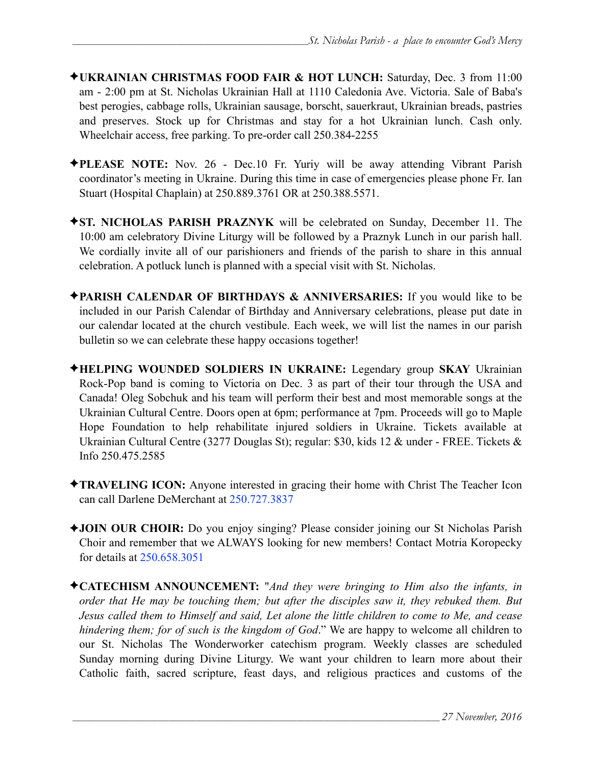- ✦**UKRAINIAN CHRISTMAS FOOD FAIR & HOT LUNCH:** Saturday, Dec. 3 from 11:00 am - 2:00 pm at St. Nicholas Ukrainian Hall at 1110 Caledonia Ave. Victoria. Sale of Baba's best perogies, cabbage rolls, Ukrainian sausage, borscht, sauerkraut, Ukrainian breads, pastries and preserves. Stock up for Christmas and stay for a hot Ukrainian lunch. Cash only. Wheelchair access, free parking. To pre-order call 250.384-2255
- ✦**PLEASE NOTE:** Nov. 26 Dec.10 Fr. Yuriy will be away attending Vibrant Parish coordinator's meeting in Ukraine. During this time in case of emergencies please phone Fr. Ian Stuart (Hospital Chaplain) at 250.889.3761 OR at 250.388.5571.
- ✦**ST. NICHOLAS PARISH PRAZNYK** will be celebrated on Sunday, December 11. The 10:00 am celebratory Divine Liturgy will be followed by a Praznyk Lunch in our parish hall. We cordially invite all of our parishioners and friends of the parish to share in this annual celebration. A potluck lunch is planned with a special visit with St. Nicholas.
- ✦**PARISH CALENDAR OF BIRTHDAYS & ANNIVERSARIES:** If you would like to be included in our Parish Calendar of Birthday and Anniversary celebrations, please put date in our calendar located at the church vestibule. Each week, we will list the names in our parish bulletin so we can celebrate these happy occasions together!
- ✦**HELPING WOUNDED SOLDIERS IN UKRAINE:** Legendary group **SKAY** Ukrainian Rock-Pop band is coming to Victoria on Dec. 3 as part of their tour through the USA and Canada! Oleg Sobchuk and his team will perform their best and most memorable songs at the Ukrainian Cultural Centre. Doors open at 6pm; performance at 7pm. Proceeds will go to Maple Hope Foundation to help rehabilitate injured soldiers in Ukraine. Tickets available at Ukrainian Cultural Centre (3277 Douglas St); regular: \$30, kids 12 & under - FREE. Tickets & Info 250.475.2585
- ✦**TRAVELING ICON:** Anyone interested in gracing their home with Christ The Teacher Icon can call Darlene DeMerchant at 250.727.3837
- ✦**JOIN OUR CHOIR:** Do you enjoy singing? Please consider joining our St Nicholas Parish Choir and remember that we ALWAYS looking for new members! Contact Motria Koropecky for details at 250.658.3051
- ✦**CATECHISM ANNOUNCEMENT:** "*And they were bringing to Him also the infants, in order that He may be touching them; but after the disciples saw it, they rebuked them. But Jesus called them to Himself and said, Let alone the little children to come to Me, and cease hindering them; for of such is the kingdom of God*." We are happy to welcome all children to our St. Nicholas The Wonderworker catechism program. Weekly classes are scheduled Sunday morning during Divine Liturgy. We want your children to learn more about their Catholic faith, sacred scripture, feast days, and religious practices and customs of the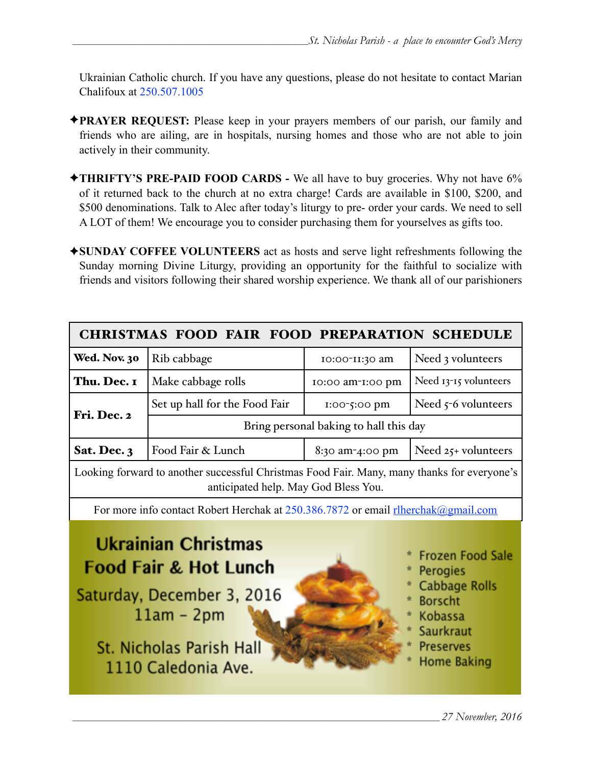Ukrainian Catholic church. If you have any questions, please do not hesitate to contact Marian Chalifoux at 250.507.1005

- ✦**PRAYER REQUEST:** Please keep in your prayers members of our parish, our family and friends who are ailing, are in hospitals, nursing homes and those who are not able to join actively in their community.
- ✦**THRIFTY'S PRE-PAID FOOD CARDS** We all have to buy groceries. Why not have 6% of it returned back to the church at no extra charge! Cards are available in \$100, \$200, and \$500 denominations. Talk to Alec after today's liturgy to pre- order your cards. We need to sell A LOT of them! We encourage you to consider purchasing them for yourselves as gifts too.
- ✦**SUNDAY COFFEE VOLUNTEERS** act as hosts and serve light refreshments following the Sunday morning Divine Liturgy, providing an opportunity for the faithful to socialize with friends and visitors following their shared worship experience. We thank all of our parishioners

| <b>CHRISTMAS FOOD FAIR FOOD PREPARATION SCHEDULE</b>                                                                                                                                                                                                                                                        |                                        |                  |                       |  |  |  |
|-------------------------------------------------------------------------------------------------------------------------------------------------------------------------------------------------------------------------------------------------------------------------------------------------------------|----------------------------------------|------------------|-----------------------|--|--|--|
| Wed. Nov. 30                                                                                                                                                                                                                                                                                                | Rib cabbage                            | 10:00-11:30 am   | Need 3 volunteers     |  |  |  |
| Thu. Dec. I                                                                                                                                                                                                                                                                                                 | Make cabbage rolls                     | 10:00 am-1:00 pm | Need 13-15 volunteers |  |  |  |
|                                                                                                                                                                                                                                                                                                             | Set up hall for the Food Fair          | 1:00-5:00 pm     | Need $5-6$ volunteers |  |  |  |
| Fri. Dec. 2                                                                                                                                                                                                                                                                                                 | Bring personal baking to hall this day |                  |                       |  |  |  |
| Sat. Dec. 3                                                                                                                                                                                                                                                                                                 | Food Fair & Lunch                      | 8:30 am-4:00 pm  | Need $25+$ volunteers |  |  |  |
| Looking forward to another successful Christmas Food Fair. Many, many thanks for everyone's<br>anticipated help. May God Bless You.                                                                                                                                                                         |                                        |                  |                       |  |  |  |
| For more info contact Robert Herchak at 250.386.7872 or email rlherchak@gmail.com                                                                                                                                                                                                                           |                                        |                  |                       |  |  |  |
| <b>Ukrainian Christmas</b><br><b>Frozen Food Sale</b><br><b>Food Fair &amp; Hot Lunch</b><br>Perogies<br><b>Cabbage Rolls</b><br>Saturday, December 3, 2016<br><b>Borscht</b><br>$11am - 2pm$<br>Kobassa<br><b>Saurkraut</b><br>St. Nicholas Parish Hall<br>Preserves<br>Home Baking<br>1110 Caledonia Ave. |                                        |                  |                       |  |  |  |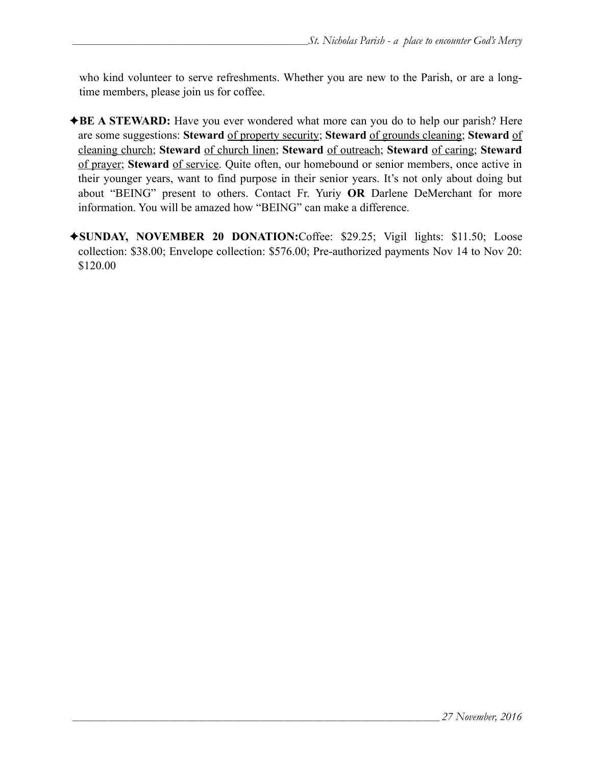who kind volunteer to serve refreshments. Whether you are new to the Parish, or are a longtime members, please join us for coffee.

- ✦**BE A STEWARD:** Have you ever wondered what more can you do to help our parish? Here are some suggestions: **Steward** of property security; **Steward** of grounds cleaning; **Steward** of cleaning church; **Steward** of church linen; **Steward** of outreach; **Steward** of caring; **Steward** of prayer; **Steward** of service. Quite often, our homebound or senior members, once active in their younger years, want to find purpose in their senior years. It's not only about doing but about "BEING" present to others. Contact Fr. Yuriy **OR** Darlene DeMerchant for more information. You will be amazed how "BEING" can make a difference.
- ✦**SUNDAY, NOVEMBER 20 DONATION:**Coffee: \$29.25; Vigil lights: \$11.50; Loose collection: \$38.00; Envelope collection: \$576.00; Pre-authorized payments Nov 14 to Nov 20: \$120.00